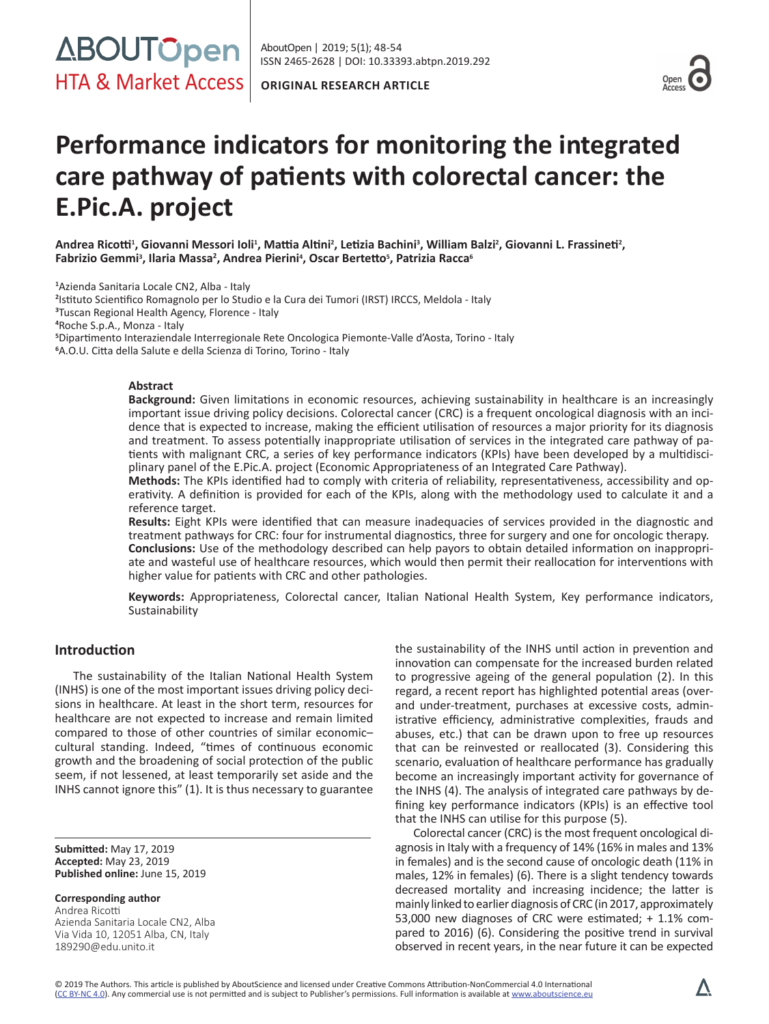



# **Performance indicators for monitoring the integrated care pathway of patients with colorectal cancer: the E.Pic.A. project**

**Andrea Ricotti<sup>1</sup> , Giovanni Messori Ioli<sup>1</sup> , Mattia Altini<sup>2</sup> , Letizia Bachini<sup>3</sup> , William Balzi<sup>2</sup> , Giovanni L. Frassineti<sup>2</sup> , Fabrizio Gemmi<sup>3</sup> , Ilaria Massa<sup>2</sup> , Andrea Pierini4 , Oscar Bertetto<sup>5</sup> , Patrizia Racca<sup>6</sup>**

**1** Azienda Sanitaria Locale CN2, Alba - Italy

 Istituto Scientifico Romagnolo per lo Studio e la Cura dei Tumori (IRST) IRCCS, Meldola - Italy Tuscan Regional Health Agency, Florence - Italy Roche S.p.A., Monza - Italy Dipartimento Interaziendale Interregionale Rete Oncologica Piemonte-Valle d'Aosta, Torino - Italy A.O.U. Citta della Salute e della Scienza di Torino, Torino - Italy

#### **Abstract**

**Background:** Given limitations in economic resources, achieving sustainability in healthcare is an increasingly important issue driving policy decisions. Colorectal cancer (CRC) is a frequent oncological diagnosis with an incidence that is expected to increase, making the efficient utilisation of resources a major priority for its diagnosis and treatment. To assess potentially inappropriate utilisation of services in the integrated care pathway of patients with malignant CRC, a series of key performance indicators (KPIs) have been developed by a multidisciplinary panel of the E.Pic.A. project (Economic Appropriateness of an Integrated Care Pathway).

**Methods:** The KPIs identified had to comply with criteria of reliability, representativeness, accessibility and operativity. A definition is provided for each of the KPIs, along with the methodology used to calculate it and a reference target.

**Results:** Eight KPIs were identified that can measure inadequacies of services provided in the diagnostic and treatment pathways for CRC: four for instrumental diagnostics, three for surgery and one for oncologic therapy. **Conclusions:** Use of the methodology described can help payors to obtain detailed information on inappropriate and wasteful use of healthcare resources, which would then permit their reallocation for interventions with higher value for patients with CRC and other pathologies.

**Keywords:** Appropriateness, Colorectal cancer, Italian National Health System, Key performance indicators, Sustainability

# **Introduction**

The sustainability of the Italian National Health System (INHS) is one of the most important issues driving policy decisions in healthcare. At least in the short term, resources for healthcare are not expected to increase and remain limited compared to those of other countries of similar economic– cultural standing. Indeed, "times of continuous economic growth and the broadening of social protection of the public seem, if not lessened, at least temporarily set aside and the INHS cannot ignore this" (1). It is thus necessary to guarantee

**Submitted:** May 17, 2019 **Accepted:** May 23, 2019 **Published online:** June 15, 2019

**Corresponding author** Andrea Ricotti Azienda Sanitaria Locale CN2, Alba Via Vida 10, 12051 Alba, CN, Italy 189290@edu.unito.it

the sustainability of the INHS until action in prevention and innovation can compensate for the increased burden related to progressive ageing of the general population (2). In this regard, a recent report has highlighted potential areas (overand under-treatment, purchases at excessive costs, administrative efficiency, administrative complexities, frauds and abuses, etc.) that can be drawn upon to free up resources that can be reinvested or reallocated (3). Considering this scenario, evaluation of healthcare performance has gradually become an increasingly important activity for governance of the INHS (4). The analysis of integrated care pathways by defining key performance indicators (KPIs) is an effective tool that the INHS can utilise for this purpose (5).

Colorectal cancer (CRC) is the most frequent oncological diagnosis in Italy with a frequency of 14% (16% in males and 13% in females) and is the second cause of oncologic death (11% in males, 12% in females) (6). There is a slight tendency towards decreased mortality and increasing incidence; the latter is mainly linked to earlier diagnosis of CRC (in 2017, approximately 53,000 new diagnoses of CRC were estimated; + 1.1% compared to 2016) (6). Considering the positive trend in survival observed in recent years, in the near future it can be expected

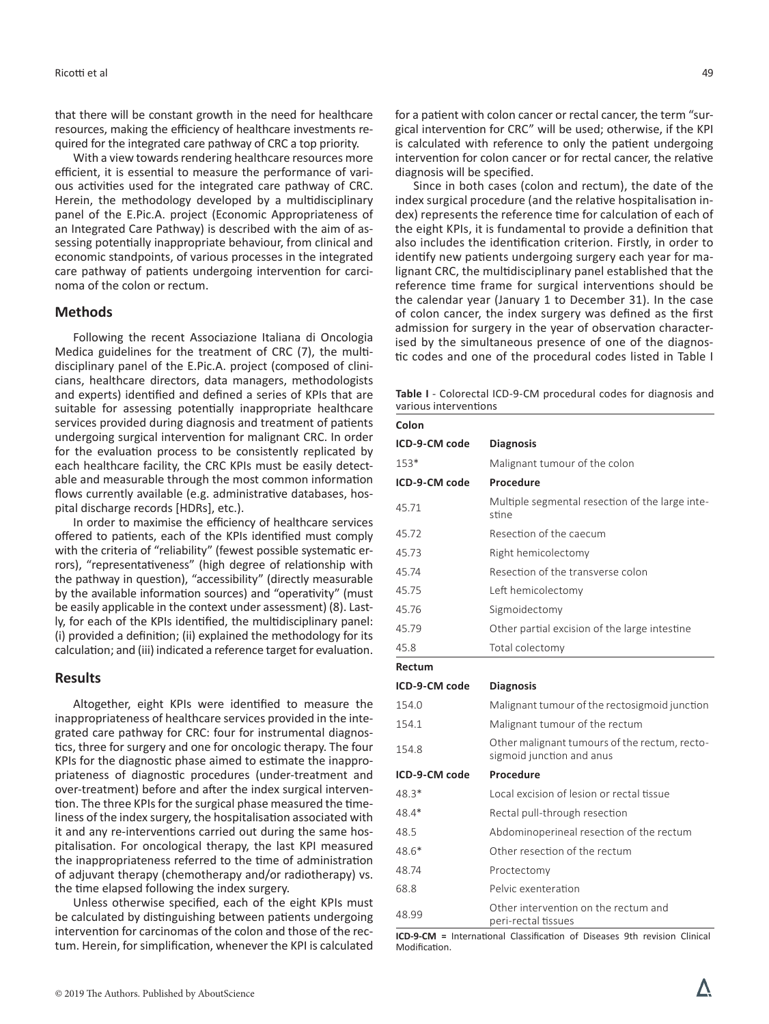that there will be constant growth in the need for healthcare resources, making the efficiency of healthcare investments required for the integrated care pathway of CRC a top priority.

With a view towards rendering healthcare resources more efficient, it is essential to measure the performance of various activities used for the integrated care pathway of CRC. Herein, the methodology developed by a multidisciplinary panel of the E.Pic.A. project (Economic Appropriateness of an Integrated Care Pathway) is described with the aim of assessing potentially inappropriate behaviour, from clinical and economic standpoints, of various processes in the integrated care pathway of patients undergoing intervention for carcinoma of the colon or rectum.

# **Methods**

Following the recent Associazione Italiana di Oncologia Medica guidelines for the treatment of CRC (7), the multidisciplinary panel of the E.Pic.A. project (composed of clinicians, healthcare directors, data managers, methodologists and experts) identified and defined a series of KPIs that are suitable for assessing potentially inappropriate healthcare services provided during diagnosis and treatment of patients undergoing surgical intervention for malignant CRC. In order for the evaluation process to be consistently replicated by each healthcare facility, the CRC KPIs must be easily detectable and measurable through the most common information flows currently available (e.g. administrative databases, hospital discharge records [HDRs], etc.).

In order to maximise the efficiency of healthcare services offered to patients, each of the KPIs identified must comply with the criteria of "reliability" (fewest possible systematic errors), "representativeness" (high degree of relationship with the pathway in question), "accessibility" (directly measurable by the available information sources) and "operativity" (must be easily applicable in the context under assessment) (8). Lastly, for each of the KPIs identified, the multidisciplinary panel: (i) provided a definition; (ii) explained the methodology for its calculation; and (iii) indicated a reference target for evaluation.

### **Results**

Altogether, eight KPIs were identified to measure the inappropriateness of healthcare services provided in the integrated care pathway for CRC: four for instrumental diagnostics, three for surgery and one for oncologic therapy. The four KPIs for the diagnostic phase aimed to estimate the inappropriateness of diagnostic procedures (under-treatment and over-treatment) before and after the index surgical intervention. The three KPIs for the surgical phase measured the timeliness of the index surgery, the hospitalisation associated with it and any re-interventions carried out during the same hospitalisation. For oncological therapy, the last KPI measured the inappropriateness referred to the time of administration of adjuvant therapy (chemotherapy and/or radiotherapy) vs. the time elapsed following the index surgery.

Unless otherwise specified, each of the eight KPIs must be calculated by distinguishing between patients undergoing intervention for carcinomas of the colon and those of the rectum. Herein, for simplification, whenever the KPI is calculated

for a patient with colon cancer or rectal cancer, the term "surgical intervention for CRC" will be used; otherwise, if the KPI is calculated with reference to only the patient undergoing intervention for colon cancer or for rectal cancer, the relative diagnosis will be specified.

Since in both cases (colon and rectum), the date of the index surgical procedure (and the relative hospitalisation index) represents the reference time for calculation of each of the eight KPIs, it is fundamental to provide a definition that also includes the identification criterion. Firstly, in order to identify new patients undergoing surgery each year for malignant CRC, the multidisciplinary panel established that the reference time frame for surgical interventions should be the calendar year (January 1 to December 31). In the case of colon cancer, the index surgery was defined as the first admission for surgery in the year of observation characterised by the simultaneous presence of one of the diagnostic codes and one of the procedural codes listed in Table I

**Table I** - Colorectal ICD-9-CM procedural codes for diagnosis and various interventions

| Colon         |                                                                            |
|---------------|----------------------------------------------------------------------------|
| ICD-9-CM code | <b>Diagnosis</b>                                                           |
| 153*          | Malignant tumour of the colon                                              |
| ICD-9-CM code | Procedure                                                                  |
| 45.71         | Multiple segmental resection of the large inte-<br>stine                   |
| 45.72         | Resection of the caecum                                                    |
| 45.73         | Right hemicolectomy                                                        |
| 45.74         | Resection of the transverse colon                                          |
| 45.75         | Left hemicolectomy                                                         |
| 45.76         | Sigmoidectomy                                                              |
| 45.79         | Other partial excision of the large intestine                              |
| 45.8          | Total colectomy                                                            |
| Rectum        |                                                                            |
| ICD-9-CM code | <b>Diagnosis</b>                                                           |
| 154.0         | Malignant tumour of the rectosigmoid junction                              |
| 154.1         | Malignant tumour of the rectum                                             |
| 154.8         | Other malignant tumours of the rectum, recto-<br>sigmoid junction and anus |
| ICD-9-CM code | Procedure                                                                  |
| 48.3*         | Local excision of lesion or rectal tissue                                  |
| 48.4*         | Rectal pull-through resection                                              |
| 48.5          | Abdominoperineal resection of the rectum                                   |
| 48.6*         | Other resection of the rectum                                              |
| 48.74         | Proctectomy                                                                |
| 68.8          | Pelvic exenteration                                                        |
| 48.99         | Other intervention on the rectum and<br>peri-rectal fissues                |

**ICD-9-CM =** International Classification of Diseases 9th revision Clinical Modification.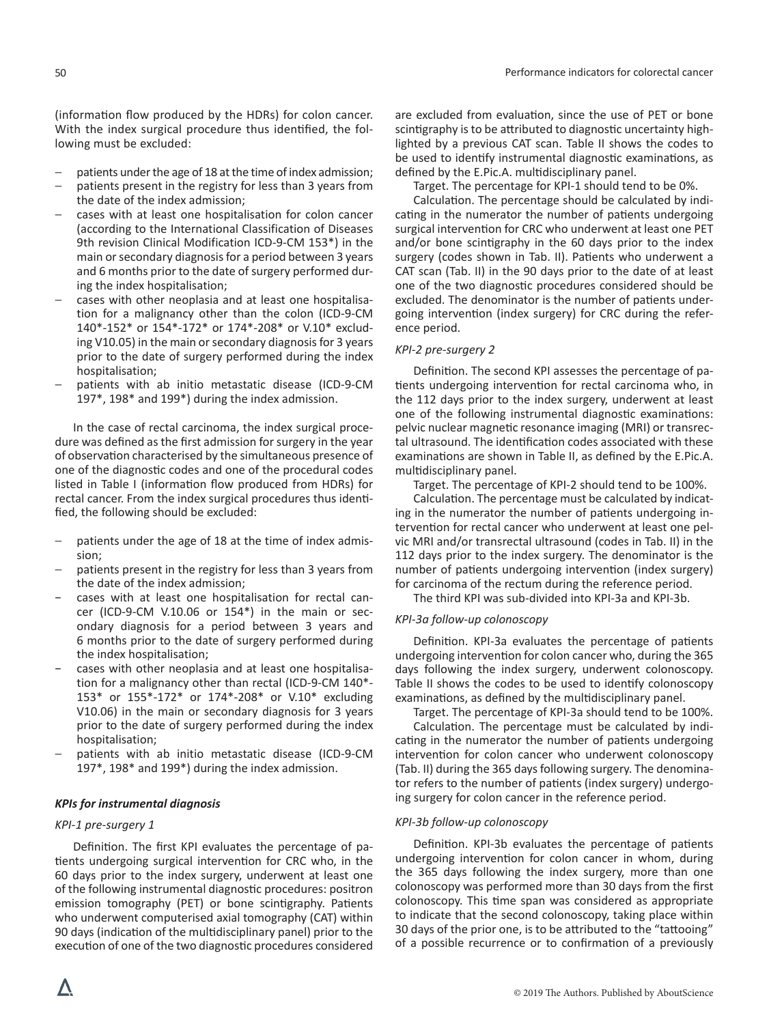(information flow produced by the HDRs) for colon cancer. With the index surgical procedure thus identified, the following must be excluded:

- patients under the age of 18 at the time of index admission;
- patients present in the registry for less than 3 years from the date of the index admission;
- − cases with at least one hospitalisation for colon cancer (according to the International Classification of Diseases 9th revision Clinical Modification ICD-9-CM 153\*) in the main or secondary diagnosis for a period between 3 years and 6 months prior to the date of surgery performed during the index hospitalisation;
- cases with other neoplasia and at least one hospitalisation for a malignancy other than the colon (ICD-9-CM 140\*-152\* or 154\*-172\* or 174\*-208\* or V.10\* excluding V10.05) in the main or secondary diagnosis for 3 years prior to the date of surgery performed during the index hospitalisation;
- patients with ab initio metastatic disease (ICD-9-CM 197\*, 198\* and 199\*) during the index admission.

In the case of rectal carcinoma, the index surgical procedure was defined as the first admission for surgery in the year of observation characterised by the simultaneous presence of one of the diagnostic codes and one of the procedural codes listed in Table I (information flow produced from HDRs) for rectal cancer. From the index surgical procedures thus identified, the following should be excluded:

- patients under the age of 18 at the time of index admission;
- patients present in the registry for less than 3 years from the date of the index admission;
- − cases with at least one hospitalisation for rectal cancer (ICD-9-CM V.10.06 or 154\*) in the main or secondary diagnosis for a period between 3 years and 6 months prior to the date of surgery performed during the index hospitalisation;
- − cases with other neoplasia and at least one hospitalisation for a malignancy other than rectal (ICD-9-CM 140\*- 153\* or 155\*-172\* or 174\*-208\* or V.10\* excluding V10.06) in the main or secondary diagnosis for 3 years prior to the date of surgery performed during the index hospitalisation;
- patients with ab initio metastatic disease (ICD-9-CM 197\*, 198\* and 199\*) during the index admission.

# *KPIs for instrumental diagnosis*

# *KPI-1 pre-surgery 1*

Definition. The first KPI evaluates the percentage of patients undergoing surgical intervention for CRC who, in the 60 days prior to the index surgery, underwent at least one of the following instrumental diagnostic procedures: positron emission tomography (PET) or bone scintigraphy. Patients who underwent computerised axial tomography (CAT) within 90 days (indication of the multidisciplinary panel) prior to the execution of one of the two diagnostic procedures considered

are excluded from evaluation, since the use of PET or bone scintigraphy is to be attributed to diagnostic uncertainty highlighted by a previous CAT scan. Table II shows the codes to be used to identify instrumental diagnostic examinations, as defined by the E.Pic.A. multidisciplinary panel.

Target. The percentage for KPI-1 should tend to be 0%.

Calculation. The percentage should be calculated by indicating in the numerator the number of patients undergoing surgical intervention for CRC who underwent at least one PET and/or bone scintigraphy in the 60 days prior to the index surgery (codes shown in Tab. II). Patients who underwent a CAT scan (Tab. II) in the 90 days prior to the date of at least one of the two diagnostic procedures considered should be excluded. The denominator is the number of patients undergoing intervention (index surgery) for CRC during the reference period.

#### *KPI-2 pre-surgery 2*

Definition. The second KPI assesses the percentage of patients undergoing intervention for rectal carcinoma who, in the 112 days prior to the index surgery, underwent at least one of the following instrumental diagnostic examinations: pelvic nuclear magnetic resonance imaging (MRI) or transrectal ultrasound. The identification codes associated with these examinations are shown in Table II, as defined by the E.Pic.A. multidisciplinary panel.

Target. The percentage of KPI-2 should tend to be 100%.

Calculation. The percentage must be calculated by indicating in the numerator the number of patients undergoing intervention for rectal cancer who underwent at least one pelvic MRI and/or transrectal ultrasound (codes in Tab. II) in the 112 days prior to the index surgery. The denominator is the number of patients undergoing intervention (index surgery) for carcinoma of the rectum during the reference period.

The third KPI was sub-divided into KPI-3a and KPI-3b.

#### *KPI-3a follow-up colonoscopy*

Definition. KPI-3a evaluates the percentage of patients undergoing intervention for colon cancer who, during the 365 days following the index surgery, underwent colonoscopy. Table II shows the codes to be used to identify colonoscopy examinations, as defined by the multidisciplinary panel.

Target. The percentage of KPI-3a should tend to be 100%.

Calculation. The percentage must be calculated by indicating in the numerator the number of patients undergoing intervention for colon cancer who underwent colonoscopy (Tab. II) during the 365 days following surgery. The denominator refers to the number of patients (index surgery) undergoing surgery for colon cancer in the reference period.

#### *KPI-3b follow-up colonoscopy*

Definition. KPI-3b evaluates the percentage of patients undergoing intervention for colon cancer in whom, during the 365 days following the index surgery, more than one colonoscopy was performed more than 30 days from the first colonoscopy. This time span was considered as appropriate to indicate that the second colonoscopy, taking place within 30 days of the prior one, is to be attributed to the "tattooing" of a possible recurrence or to confirmation of a previously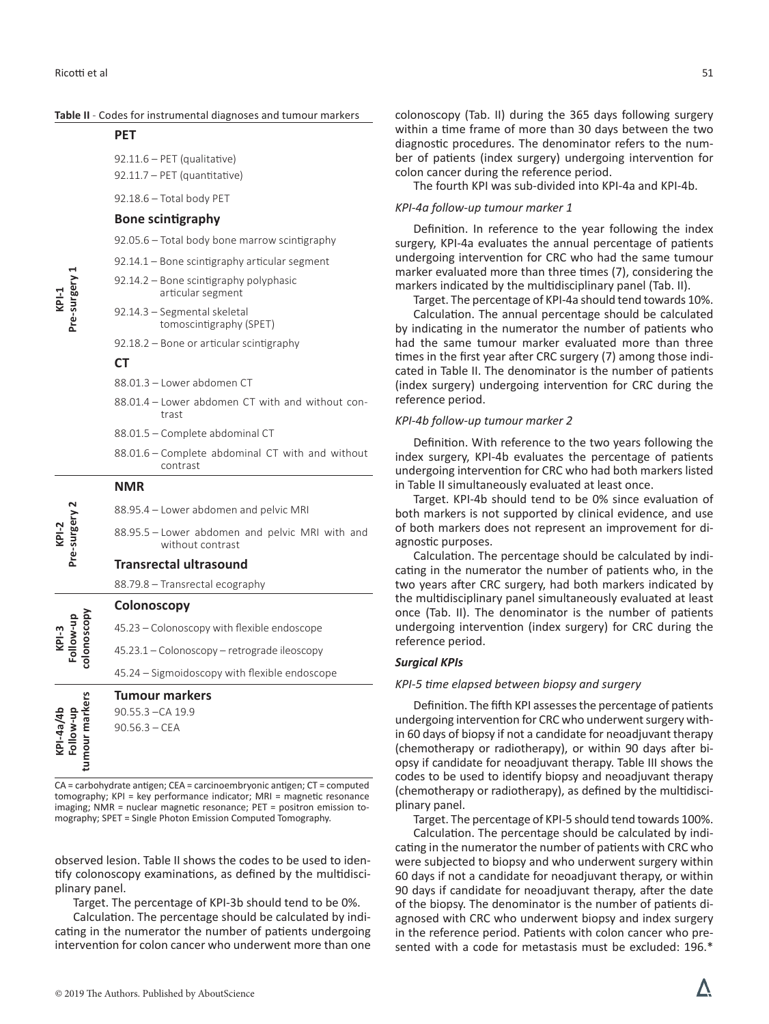**PET**

| Pre-surgery<br>$KPI-1$                   |                                                                     | di       |
|------------------------------------------|---------------------------------------------------------------------|----------|
|                                          | $92.11.6$ – PET (qualitative)<br>92.11.7 - PET (quantitative)       | be<br>CO |
|                                          | 92.18.6 - Total body PET                                            | КF       |
|                                          | <b>Bone scintigraphy</b>                                            |          |
|                                          | 92.05.6 - Total body bone marrow scintigraphy                       | su       |
|                                          | 92.14.1 – Bone scintigraphy articular segment                       | un       |
|                                          | 92.14.2 – Bone scintigraphy polyphasic<br>articular segment         |          |
|                                          | 92.14.3 - Segmental skeletal<br>tomoscintigraphy (SPET)             |          |
|                                          | $92.18.2 -$ Bone or articular scintigraphy                          |          |
|                                          | <b>CT</b>                                                           |          |
|                                          | 88.01.3 - Lower abdomen CT                                          |          |
|                                          | 88.01.4 - Lower abdomen CT with and without con-<br>trast           |          |
|                                          | 88.01.5 - Complete abdominal CT                                     |          |
|                                          | 88.01.6 – Complete abdominal CT with and without<br>contrast        |          |
| Pre-surgery<br>$KPI-2$                   | <b>NMR</b>                                                          |          |
|                                          | 88.95.4 – Lower abdomen and pelvic MRI                              |          |
|                                          | 88.95.5 - Lower abdomen and pelvic MRI with and<br>without contrast |          |
|                                          | <b>Transrectal ultrasound</b>                                       |          |
|                                          | 88.79.8 - Transrectal ecography                                     |          |
| colonoscopy<br>$KPI-3$                   | Colonoscopy                                                         |          |
|                                          | 45.23 - Colonoscopy with flexible endoscope                         |          |
|                                          | 45.23.1 – Colonoscopy – retrograde ileoscopy                        |          |
|                                          | 45.24 – Sigmoidoscopy with flexible endoscope                       |          |
| tumour markers<br>KPI-4a/4b<br>Follow-up | Tumour markers                                                      |          |
|                                          | 90.55.3 - CA 19.9<br>$90.56.3 - CEA$                                |          |
|                                          |                                                                     |          |
|                                          |                                                                     |          |
|                                          |                                                                     |          |

**Table II** - Codes for instrumental diagnoses and tumour markers

CA = carbohydrate antigen; CEA = carcinoembryonic antigen; CT = computed tomography; KPI = key performance indicator; MRI = magnetic resonance imaging; NMR = nuclear magnetic resonance; PET = positron emission tomography; SPET = Single Photon Emission Computed Tomography.

observed lesion. Table II shows the codes to be used to identify colonoscopy examinations, as defined by the multidisciplinary panel.

Target. The percentage of KPI-3b should tend to be 0%.

Calculation. The percentage should be calculated by indicating in the numerator the number of patients undergoing intervention for colon cancer who underwent more than one colonoscopy (Tab. II) during the 365 days following surgery within a time frame of more than 30 days between the two agnostic procedures. The denominator refers to the numer of patients (index surgery) undergoing intervention for lon cancer during the reference period.

The fourth KPI was sub-divided into KPI-4a and KPI-4b.

#### *KPI-4a follow-up tumour marker 1*

Definition. In reference to the year following the index rgery, KPI-4a evaluates the annual percentage of patients dergoing intervention for CRC who had the same tumour arker evaluated more than three times (7), considering the arkers indicated by the multidisciplinary panel (Tab. II).

Target. The percentage of KPI-4a should tend towards 10%.

Calculation. The annual percentage should be calculated indicating in the numerator the number of patients who d the same tumour marker evaluated more than three nes in the first year after CRC surgery (7) among those indited in Table II. The denominator is the number of patients (dex surgery) undergoing intervention for CRC during the ference period.

#### *KPI-4b follow-up tumour marker 2*

Definition. With reference to the two years following the dex surgery, KPI-4b evaluates the percentage of patients dergoing intervention for CRC who had both markers listed Table II simultaneously evaluated at least once.

Target. KPI-4b should tend to be 0% since evaluation of th markers is not supported by clinical evidence, and use both markers does not represent an improvement for dinostic purposes.

Calculation. The percentage should be calculated by inditing in the numerator the number of patients who, in the o years after CRC surgery, had both markers indicated by e multidisciplinary panel simultaneously evaluated at least Ice (Tab. II). The denominator is the number of patients dergoing intervention (index surgery) for CRC during the ference period.

#### *Surgical KPIs*

#### *KPI-5 time elapsed between biopsy and surgery*

Definition. The fifth KPI assesses the percentage of patients dergoing intervention for CRC who underwent surgery with-60 days of biopsy if not a candidate for neoadjuvant therapy hemotherapy or radiotherapy), or within 90 days after biosy if candidate for neoadjuvant therapy. Table III shows the codes to be used to identify biopsy and neoadjuvant therapy (chemotherapy or radiotherapy), as defined by the multidisciplinary panel.

Target. The percentage of KPI-5 should tend towards 100%. Calculation. The percentage should be calculated by indicating in the numerator the number of patients with CRC who were subjected to biopsy and who underwent surgery within 60 days if not a candidate for neoadjuvant therapy, or within 90 days if candidate for neoadjuvant therapy, after the date of the biopsy. The denominator is the number of patients diagnosed with CRC who underwent biopsy and index surgery in the reference period. Patients with colon cancer who presented with a code for metastasis must be excluded: 196.\*

Λ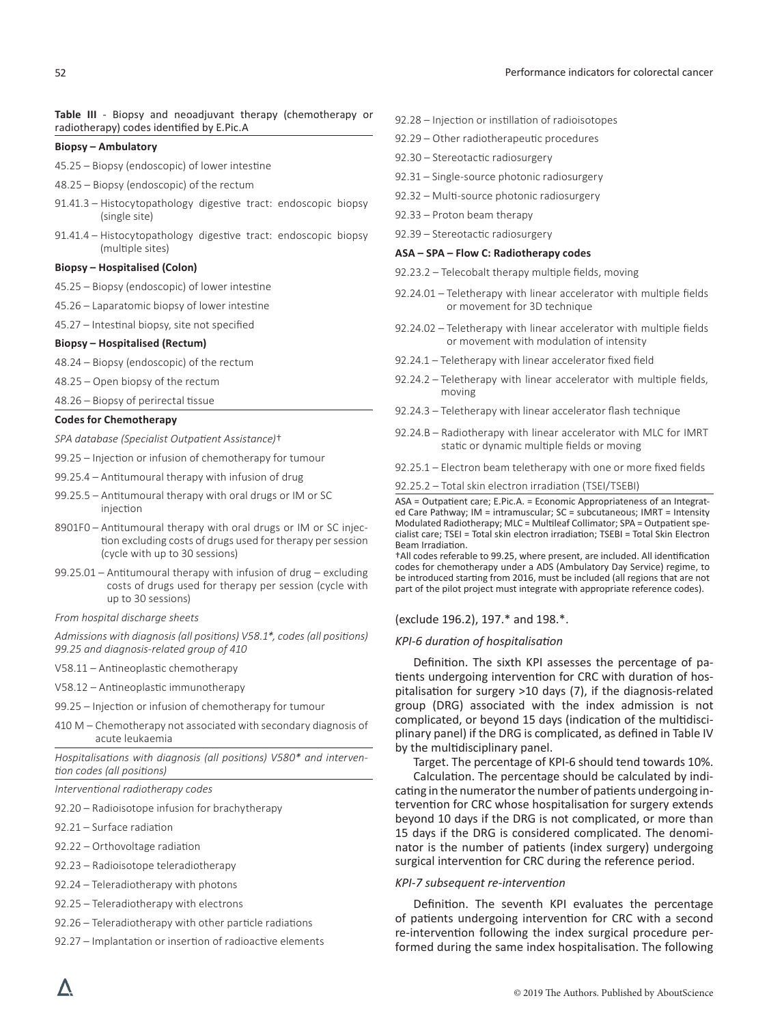#### **Table III** - Biopsy and neoadjuvant therapy (chemotherapy or radiotherapy) codes identified by E.Pic.A

#### **Biopsy – Ambulatory**

- 45.25 Biopsy (endoscopic) of lower intestine
- 48.25 Biopsy (endoscopic) of the rectum
- 91.41.3 Histocytopathology digestive tract: endoscopic biopsy (single site)
- 91.41.4 Histocytopathology digestive tract: endoscopic biopsy (multiple sites)

#### **Biopsy – Hospitalised (Colon)**

- 45.25 Biopsy (endoscopic) of lower intestine
- 45.26 Laparatomic biopsy of lower intestine
- 45.27 Intestinal biopsy, site not specified

#### **Biopsy – Hospitalised (Rectum)**

- 48.24 Biopsy (endoscopic) of the rectum
- 48.25 Open biopsy of the rectum
- 48.26 Biopsy of perirectal tissue

#### **Codes for Chemotherapy**

*SPA database (Specialist Outpatient Assistance)*†

- 99.25 Injection or infusion of chemotherapy for tumour
- 99.25.4 Antitumoural therapy with infusion of drug
- 99.25.5 Antitumoural therapy with oral drugs or IM or SC injection
- 8901F0 Antitumoural therapy with oral drugs or IM or SC injection excluding costs of drugs used for therapy per session (cycle with up to 30 sessions)
- 99.25.01 Antitumoural therapy with infusion of drug excluding costs of drugs used for therapy per session (cycle with up to 30 sessions)
- *From hospital discharge sheets*

*Admissions with diagnosis (all positions) V58.1\*, codes (all positions) 99.25 and diagnosis-related group of 410*

- V58.11 Antineoplastic chemotherapy
- V58.12 Antineoplastic immunotherapy
- 99.25 Injection or infusion of chemotherapy for tumour
- 410 M Chemotherapy not associated with secondary diagnosis of acute leukaemia

*Hospitalisations with diagnosis (all positions) V580\* and intervention codes (all positions)*

*Interventional radiotherapy codes*

- 92.20 Radioisotope infusion for brachytherapy
- 92.21 Surface radiation
- 92.22 Orthovoltage radiation
- 92.23 Radioisotope teleradiotherapy
- 92.24 Teleradiotherapy with photons
- 92.25 Teleradiotherapy with electrons
- 92.26 Teleradiotherapy with other particle radiations
- 92.27 Implantation or insertion of radioactive elements
- 92.28 Injection or instillation of radioisotopes
- 92.29 Other radiotherapeutic procedures
- 92.30 Stereotactic radiosurgery
- 92.31 Single-source photonic radiosurgery
- 92.32 Multi-source photonic radiosurgery
- 92.33 Proton beam therapy
- 92.39 Stereotactic radiosurgery

#### **ASA – SPA – Flow C: Radiotherapy codes**

- 92.23.2 Telecobalt therapy multiple fields, moving
- 92.24.01 Teletherapy with linear accelerator with multiple fields or movement for 3D technique
- 92.24.02 Teletherapy with linear accelerator with multiple fields or movement with modulation of intensity
- 92.24.1 Teletherapy with linear accelerator fixed field
- 92.24.2 Teletherapy with linear accelerator with multiple fields, moving
- 92.24.3 Teletherapy with linear accelerator flash technique
- 92.24.B Radiotherapy with linear accelerator with MLC for IMRT static or dynamic multiple fields or moving
- 92.25.1 Electron beam teletherapy with one or more fixed fields
- 92.25.2 Total skin electron irradiation (TSEI/TSEBI)

ASA = Outpatient care; E.Pic.A. = Economic Appropriateness of an Integrated Care Pathway; IM = intramuscular; SC = subcutaneous; IMRT = Intensity Modulated Radiotherapy; MLC = Multileaf Collimator; SPA = Outpatient specialist care; TSEI = Total skin electron irradiation; TSEBI = Total Skin Electron Beam Irradiation.

†All codes referable to 99.25, where present, are included. All identification codes for chemotherapy under a ADS (Ambulatory Day Service) regime, to be introduced starting from 2016, must be included (all regions that are not part of the pilot project must integrate with appropriate reference codes).

#### (exclude 196.2), 197.\* and 198.\*.

#### *KPI-6 duration of hospitalisation*

Definition. The sixth KPI assesses the percentage of patients undergoing intervention for CRC with duration of hospitalisation for surgery >10 days (7), if the diagnosis-related group (DRG) associated with the index admission is not complicated, or beyond 15 days (indication of the multidisciplinary panel) if the DRG is complicated, as defined in Table IV by the multidisciplinary panel.

Target. The percentage of KPI-6 should tend towards 10%.

Calculation. The percentage should be calculated by indicating in the numerator the number of patients undergoing intervention for CRC whose hospitalisation for surgery extends beyond 10 days if the DRG is not complicated, or more than 15 days if the DRG is considered complicated. The denominator is the number of patients (index surgery) undergoing surgical intervention for CRC during the reference period.

### *KPI-7 subsequent re-intervention*

Definition. The seventh KPI evaluates the percentage of patients undergoing intervention for CRC with a second re-intervention following the index surgical procedure performed during the same index hospitalisation. The following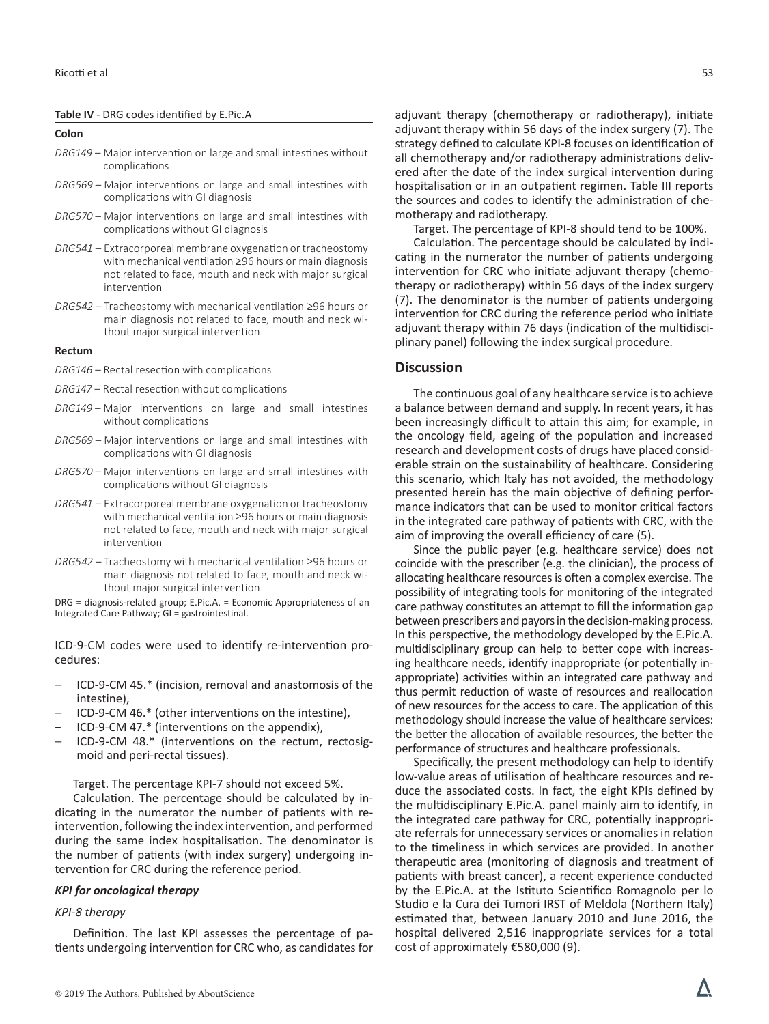#### **Table IV** - DRG codes identified by E.Pic.A

#### **Colon**

- *DRG149* Major intervention on large and small intestines without complications
- *DRG569* Major interventions on large and small intestines with complications with GI diagnosis
- *DRG570* Major interventions on large and small intestines with complications without GI diagnosis
- *DRG541* Extracorporeal membrane oxygenation or tracheostomy with mechanical ventilation ≥96 hours or main diagnosis not related to face, mouth and neck with major surgical intervention
- *DRG542* Tracheostomy with mechanical ventilation ≥96 hours or main diagnosis not related to face, mouth and neck without major surgical intervention

#### **Rectum**

- *DRG146* Rectal resection with complications
- *DRG147* Rectal resection without complications
- *DRG149* Major interventions on large and small intestines without complications
- *DRG569* Major interventions on large and small intestines with complications with GI diagnosis
- *DRG570*  Major interventions on large and small intestines with complications without GI diagnosis
- *DRG541*  Extracorporeal membrane oxygenation or tracheostomy with mechanical ventilation ≥96 hours or main diagnosis not related to face, mouth and neck with major surgical intervention
- *DRG542*  Tracheostomy with mechanical ventilation ≥96 hours or main diagnosis not related to face, mouth and neck without major surgical intervention

DRG = diagnosis-related group; E.Pic.A. = Economic Appropriateness of an Integrated Care Pathway; GI = gastrointestinal.

ICD-9-CM codes were used to identify re-intervention procedures:

- − ICD-9-CM 45.\* (incision, removal and anastomosis of the intestine),
- − ICD-9-CM 46.\* (other interventions on the intestine),
- − ICD-9-CM 47.\* (interventions on the appendix),
- − ICD-9-CM 48.\* (interventions on the rectum, rectosigmoid and peri-rectal tissues).

Target. The percentage KPI-7 should not exceed 5%.

Calculation. The percentage should be calculated by indicating in the numerator the number of patients with reintervention, following the index intervention, and performed during the same index hospitalisation. The denominator is the number of patients (with index surgery) undergoing intervention for CRC during the reference period.

#### *KPI for oncological therapy*

### *KPI-8 therapy*

Definition. The last KPI assesses the percentage of patients undergoing intervention for CRC who, as candidates for

adjuvant therapy (chemotherapy or radiotherapy), initiate adjuvant therapy within 56 days of the index surgery (7). The strategy defined to calculate KPI-8 focuses on identification of all chemotherapy and/or radiotherapy administrations delivered after the date of the index surgical intervention during hospitalisation or in an outpatient regimen. Table III reports the sources and codes to identify the administration of chemotherapy and radiotherapy.

Target. The percentage of KPI-8 should tend to be 100%.

Calculation. The percentage should be calculated by indicating in the numerator the number of patients undergoing intervention for CRC who initiate adjuvant therapy (chemotherapy or radiotherapy) within 56 days of the index surgery (7). The denominator is the number of patients undergoing intervention for CRC during the reference period who initiate adjuvant therapy within 76 days (indication of the multidisciplinary panel) following the index surgical procedure.

#### **Discussion**

The continuous goal of any healthcare service is to achieve a balance between demand and supply. In recent years, it has been increasingly difficult to attain this aim; for example, in the oncology field, ageing of the population and increased research and development costs of drugs have placed considerable strain on the sustainability of healthcare. Considering this scenario, which Italy has not avoided, the methodology presented herein has the main objective of defining performance indicators that can be used to monitor critical factors in the integrated care pathway of patients with CRC, with the aim of improving the overall efficiency of care (5).

Since the public payer (e.g. healthcare service) does not coincide with the prescriber (e.g. the clinician), the process of allocating healthcare resources is often a complex exercise. The possibility of integrating tools for monitoring of the integrated care pathway constitutes an attempt to fill the information gap between prescribers and payors in the decision-making process. In this perspective, the methodology developed by the E.Pic.A. multidisciplinary group can help to better cope with increasing healthcare needs, identify inappropriate (or potentially inappropriate) activities within an integrated care pathway and thus permit reduction of waste of resources and reallocation of new resources for the access to care. The application of this methodology should increase the value of healthcare services: the better the allocation of available resources, the better the performance of structures and healthcare professionals.

Specifically, the present methodology can help to identify low-value areas of utilisation of healthcare resources and reduce the associated costs. In fact, the eight KPIs defined by the multidisciplinary E.Pic.A. panel mainly aim to identify, in the integrated care pathway for CRC, potentially inappropriate referrals for unnecessary services or anomalies in relation to the timeliness in which services are provided. In another therapeutic area (monitoring of diagnosis and treatment of patients with breast cancer), a recent experience conducted by the E.Pic.A. at the Istituto Scientifico Romagnolo per lo Studio e la Cura dei Tumori IRST of Meldola (Northern Italy) estimated that, between January 2010 and June 2016, the hospital delivered 2,516 inappropriate services for a total cost of approximately €580,000 (9).

Λ